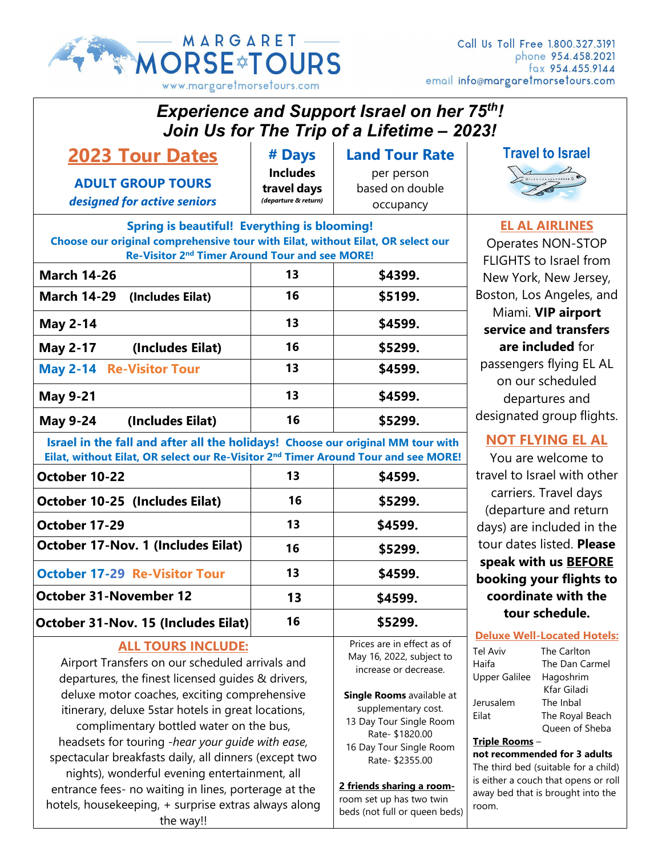

Call Us Toll Free 1.800.327.3191 phone 954.458.2021 email info@margaretmorsetours.com

| <b>Experience and Support Israel on her 75th!</b><br>Join Us for The Trip of a Lifetime - 2023!                                                                                                                                                                                                                     |                                                        |                                                                                                                                                                          |                                                                                                                                                                                                                                            |                                                                             |  |
|---------------------------------------------------------------------------------------------------------------------------------------------------------------------------------------------------------------------------------------------------------------------------------------------------------------------|--------------------------------------------------------|--------------------------------------------------------------------------------------------------------------------------------------------------------------------------|--------------------------------------------------------------------------------------------------------------------------------------------------------------------------------------------------------------------------------------------|-----------------------------------------------------------------------------|--|
| <b>2023 Tour Dates</b>                                                                                                                                                                                                                                                                                              | # Days                                                 | <b>Land Tour Rate</b>                                                                                                                                                    |                                                                                                                                                                                                                                            | <b>Travel to Israel</b>                                                     |  |
| <b>ADULT GROUP TOURS</b><br>designed for active seniors                                                                                                                                                                                                                                                             | <b>Includes</b><br>travel days<br>(departure & return) | per person<br>based on double<br>occupancy                                                                                                                               |                                                                                                                                                                                                                                            |                                                                             |  |
| <b>Spring is beautiful! Everything is blooming!</b><br>Choose our original comprehensive tour with Eilat, without Eilat, OR select our<br>Re-Visitor 2 <sup>nd</sup> Timer Around Tour and see MORE!                                                                                                                |                                                        |                                                                                                                                                                          |                                                                                                                                                                                                                                            | <b>EL AL AIRLINES</b><br>Operates NON-STOP<br><b>FLIGHTS to Israel from</b> |  |
| <b>March 14-26</b>                                                                                                                                                                                                                                                                                                  | 13                                                     | \$4399.                                                                                                                                                                  | New York, New Jersey,<br>Boston, Los Angeles, and<br>Miami. VIP airport<br>service and transfers<br>are included for<br>passengers flying EL AL<br>on our scheduled<br>departures and<br>designated group flights.                         |                                                                             |  |
| <b>March 14-29</b><br>(Includes Eilat)                                                                                                                                                                                                                                                                              | 16                                                     | \$5199.                                                                                                                                                                  |                                                                                                                                                                                                                                            |                                                                             |  |
| <b>May 2-14</b>                                                                                                                                                                                                                                                                                                     | 13                                                     | \$4599.                                                                                                                                                                  |                                                                                                                                                                                                                                            |                                                                             |  |
| (Includes Eilat)<br><b>May 2-17</b>                                                                                                                                                                                                                                                                                 | 16                                                     | \$5299.                                                                                                                                                                  |                                                                                                                                                                                                                                            |                                                                             |  |
| <b>May 2-14 Re-Visitor Tour</b>                                                                                                                                                                                                                                                                                     | 13                                                     | \$4599.                                                                                                                                                                  |                                                                                                                                                                                                                                            |                                                                             |  |
| <b>May 9-21</b>                                                                                                                                                                                                                                                                                                     | 13                                                     | \$4599.                                                                                                                                                                  |                                                                                                                                                                                                                                            |                                                                             |  |
| <b>May 9-24</b><br>(Includes Eilat)                                                                                                                                                                                                                                                                                 | 16                                                     | \$5299.                                                                                                                                                                  |                                                                                                                                                                                                                                            |                                                                             |  |
| Israel in the fall and after all the holidays! Choose our original MM tour with<br>Eilat, without Eilat, OR select our Re-Visitor 2 <sup>nd</sup> Timer Around Tour and see MORE!                                                                                                                                   |                                                        |                                                                                                                                                                          |                                                                                                                                                                                                                                            | <b>NOT FLYING EL AL</b><br>You are welcome to                               |  |
| October 10-22                                                                                                                                                                                                                                                                                                       | 13                                                     | \$4599.                                                                                                                                                                  | travel to Israel with other<br>carriers. Travel days<br>(departure and return<br>days) are included in the<br>tour dates listed. Please<br>speak with us BEFORE                                                                            |                                                                             |  |
| October 10-25 (Includes Eilat)                                                                                                                                                                                                                                                                                      | 16                                                     | \$5299.                                                                                                                                                                  |                                                                                                                                                                                                                                            |                                                                             |  |
| October 17-29                                                                                                                                                                                                                                                                                                       | 13                                                     | \$4599.                                                                                                                                                                  |                                                                                                                                                                                                                                            |                                                                             |  |
| <b>October 17-Nov. 1 (Includes Eilat)</b>                                                                                                                                                                                                                                                                           | 16                                                     | \$5299.                                                                                                                                                                  |                                                                                                                                                                                                                                            |                                                                             |  |
| <b>October 17-29 Re-Visitor Tour</b>                                                                                                                                                                                                                                                                                | 13                                                     | \$4599.                                                                                                                                                                  |                                                                                                                                                                                                                                            |                                                                             |  |
| <b>October 31-November 12</b>                                                                                                                                                                                                                                                                                       |                                                        |                                                                                                                                                                          | booking your flights to<br>coordinate with the                                                                                                                                                                                             |                                                                             |  |
|                                                                                                                                                                                                                                                                                                                     | 13                                                     | \$4599.                                                                                                                                                                  | tour schedule.                                                                                                                                                                                                                             |                                                                             |  |
| October 31-Nov. 15 (Includes Eilat)                                                                                                                                                                                                                                                                                 | 16                                                     | \$5299.                                                                                                                                                                  |                                                                                                                                                                                                                                            | <b>Deluxe Well-Located Hotels:</b>                                          |  |
| <b>ALL TOURS INCLUDE:</b><br>Airport Transfers on our scheduled arrivals and<br>departures, the finest licensed guides & drivers,<br>deluxe motor coaches, exciting comprehensive                                                                                                                                   |                                                        | Prices are in effect as of<br>May 16, 2022, subject to<br>increase or decrease.<br>Single Rooms available at                                                             | <b>Tel Aviv</b><br>The Carlton<br>The Dan Carmel<br>Haifa<br><b>Upper Galilee</b><br>Hagoshrim<br>Kfar Giladi                                                                                                                              |                                                                             |  |
| itinerary, deluxe 5star hotels in great locations,<br>complimentary bottled water on the bus,<br>headsets for touring -hear your guide with ease,<br>spectacular breakfasts daily, all dinners (except two<br>nights), wonderful evening entertainment, all<br>entrance fees- no waiting in lines, porterage at the |                                                        | supplementary cost.<br>13 Day Tour Single Room<br>Rate- \$1820.00<br>16 Day Tour Single Room<br>Rate- \$2355.00<br>2 friends sharing a room-<br>room set up has two twin | The Inbal<br>Jerusalem<br>Eilat<br>The Royal Beach<br>Queen of Sheba<br>Triple Rooms-<br>not recommended for 3 adults<br>The third bed (suitable for a child)<br>is either a couch that opens or roll<br>away bed that is brought into the |                                                                             |  |
| hotels, housekeeping, + surprise extras always along                                                                                                                                                                                                                                                                |                                                        | beds (not full or queen beds)                                                                                                                                            | room.                                                                                                                                                                                                                                      |                                                                             |  |

the way!!